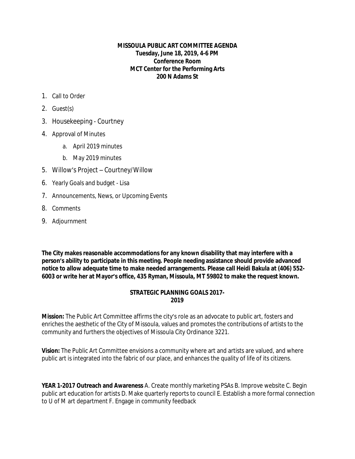## **MISSOULA PUBLIC ART COMMITTEE AGENDA Tuesday, June 18, 2019, 4-6 PM Conference Room MCT Center for the Performing Arts 200 N Adams St**

- 1. Call to Order
- 2. Guest(s)
- 3. Housekeeping Courtney
- 4. Approval of Minutes
	- a. April 2019 minutes
	- b. May 2019 minutes
- 5. Willow's Project Courtney/Willow
- 6. Yearly Goals and budget Lisa
- 7. Announcements, News, or Upcoming Events
- 8. Comments
- 9. Adjournment

**The City makes reasonable accommodations for any known disability that may interfere with a person's ability to participate in this meeting. People needing assistance should provide advanced notice to allow adequate time to make needed arrangements. Please call Heidi Bakula at (406) 552- 6003 or write her at Mayor's office, 435 Ryman, Missoula, MT 59802 to make the request known.** 

## **STRATEGIC PLANNING GOALS 2017- 2019**

**Mission:** The Public Art Committee affirms the city's role as an advocate to public art, fosters and enriches the aesthetic of the City of Missoula, values and promotes the contributions of artists to the community and furthers the objectives of Missoula City Ordinance 3221.

**Vision:** The Public Art Committee envisions a community where art and artists are valued, and where public art is integrated into the fabric of our place, and enhances the quality of life of its citizens.

**YEAR 1-2017 Outreach and Awareness** A. Create monthly marketing PSAs B. Improve website C. Begin public art education for artists D. Make quarterly reports to council E. Establish a more formal connection to U of M art department F. Engage in community feedback